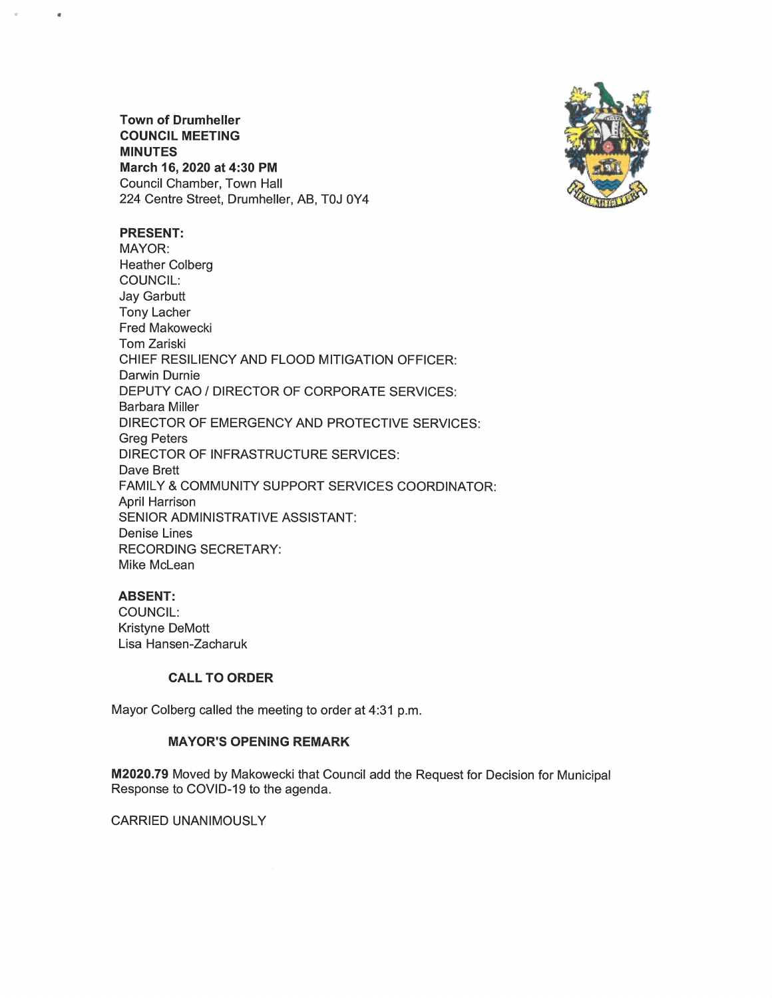**Town of Drumheller** COUNCIL MEETING MINUTES March 16, 2020 at 4:30 PM Council Chamber, Town Hall 224 Centre Street, Drumheller, AB, TOJ OY4



### PRESENT:

MAYOR: Heather Colberg COUNCIL: Jay Garbutt **Tony Lacher** Fred Makowecki Tom Zariski CHIEF RESILIENCY AND FLOOD MITIGATION OFFICER: Darwin Durnie DEPUTY CAO/ DIRECTOR OF CORPORATE SERVICES: Barbara Miller DIRECTOR OF EMERGENCY AND PROTECTIVE SERVICES: Greg Peters DIRECTOR OF INFRASTRUCTURE SERVICES: Dave Brett FAMILY & COMMUNITY SUPPORT SERVICES COORDINATOR: April Harrison SENIOR ADMINISTRATIVE ASSISTANT Denise Lines RECORDING SECRETARY' Mike McLean

# **ABSENT:**

COUNCIL: Kristyne DeMott Lisa Hansen-Zacharuk

#### CALL TO ORDER

Mayor Colberg called the meeting to order at 4:31 p.m.

# MAYOR'S OPENING REMARK

M2020.79 Moved by Makowecki that Council add the Request for Decision for Municipal Response to COVID-19 to the agenda.

## CARRIED UNANIMOUSLY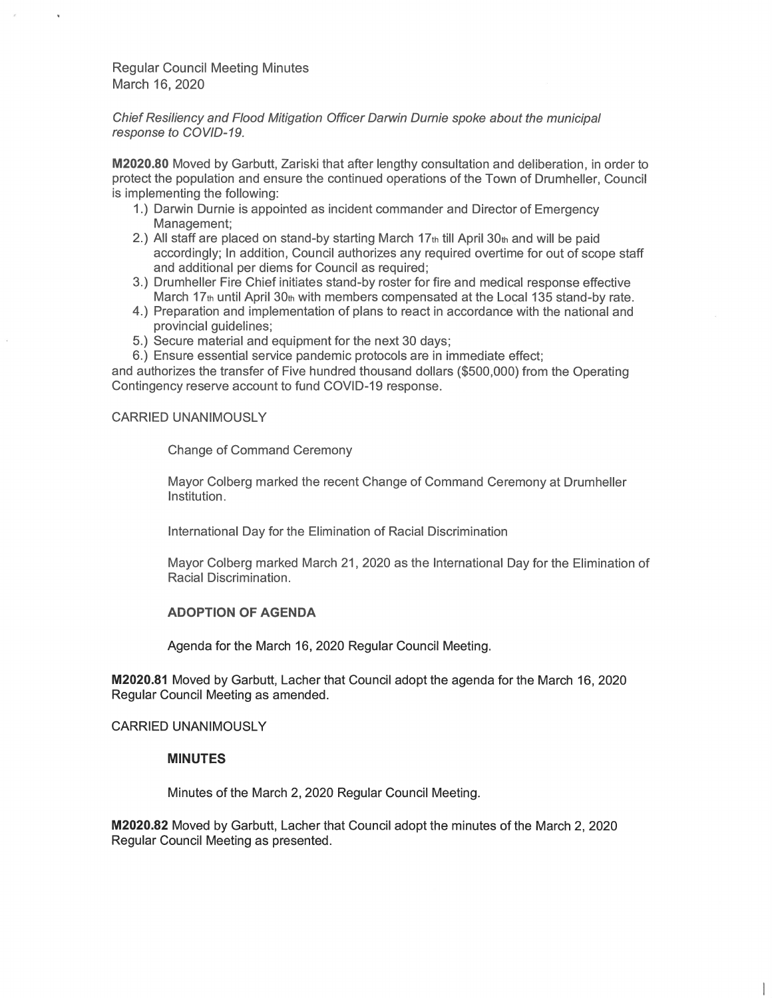Chief Resiliency and Flood Mitigation Officer Darwin Durnie spoke about the municipal response to COVID-19.

M2020.80 Moved by Garbutt, Zariski that after lengthy consultation and deliberation, in order to protect the population and ensure the continued operations of the Town of Drumheller, Council is implementing the following:

- 1.) Darwin Durnie is appointed as incident commander and Director of Emergency Management;
- 2.) All staff are placed on stand-by starting March  $17<sub>th</sub>$  till April 30th and will be paid accordingly; In addition, Council authorizes any required overtime for out of scope staff and additional per diems for Council as required;
- 3.) Drumheller Fire Chief initiates stand-by roster for fire and medical response effective March 17th until April 30th with members compensated at the Local 135 stand-by rate.
- 4.) Preparation and implementation of plans to react in accordance with the national and provincial guidelines;
- 5.) Secure material and equipment for the next 30 days;
- 6.) Ensure essential service pandemic protocols are in immediate effect;

and authorizes the transfer of Five hundred thousand dollars (\$500,000) from the Operating Contingency reserve account to fund COVID-19 response.

CARRIED UNANIMOUSLY

Change of Command Ceremony

Mayor Colberg marked the recent Change of Command Ceremony at Drumheller Institution.

International Day for the Elimination of Racial Discrimination

Mayor Colberg marked March 21, 2020 as the International Day for the Elimination of Racial Discrimination.

## ADOPTION OF AGENDA

Agenda for the March 16, 2020 Regular Council Meeting.

M2020.81 Moved by Garbutt, Lacher that Council adopt the agenda for the March 16, 2020 Regular Council Meeting as amended.

CARRIED UNANIMOUSLY

#### MINUTES

Minutes of the March 2,2020 Regular Council Meeting.

M2020.82 Moved by Garbutt, Lacher that Council adopt the minutes of the March 2, 2020 Regular Council Meeting as presented.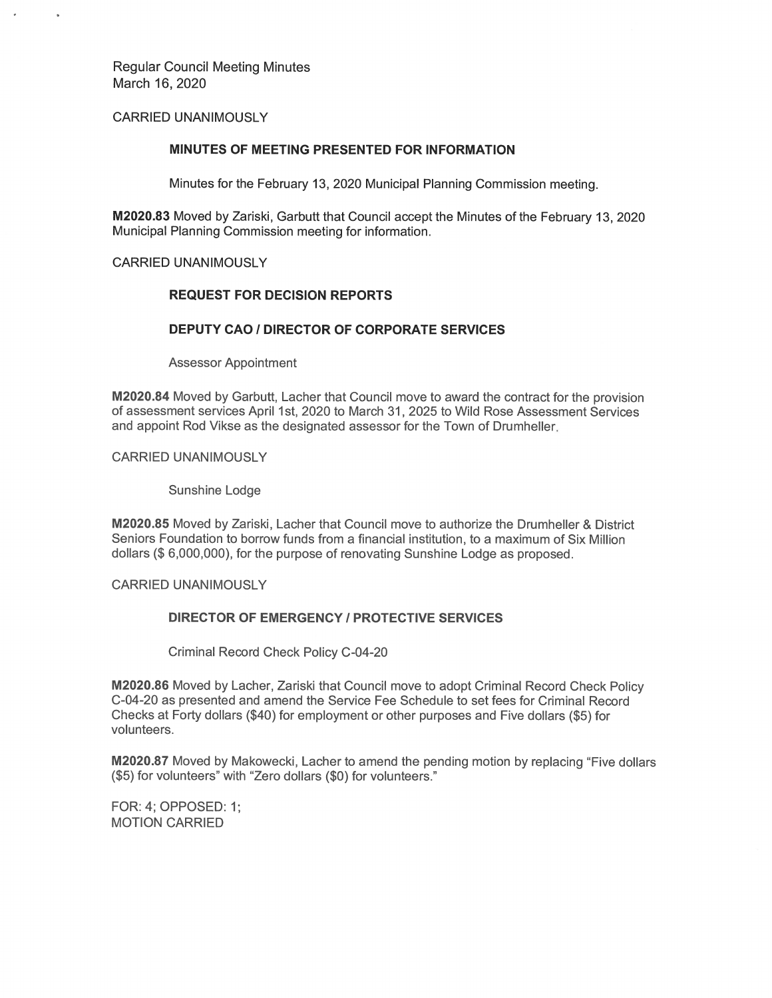## **CARRIED UNANIMOUSLY**

### MINUTES OF MEETING PRESENTED FOR INFORMATION

Minutes for the February 13, 2020 Municipal Planning Commission meeting.

M2020.83 Moved by Zariski, Garbutt that Council accept the Minutes of the February 13, 2020 Municipal Planning Commission meeting for information.

## **CARRIED UNANIMOUSLY**

### **REQUEST FOR DECISION REPORTS**

### **DEPUTY CAO / DIRECTOR OF CORPORATE SERVICES**

**Assessor Appointment** 

M2020.84 Moved by Garbutt, Lacher that Council move to award the contract for the provision of assessment services April 1st, 2020 to March 31, 2025 to Wild Rose Assessment Services and appoint Rod Vikse as the designated assessor for the Town of Drumheller.

**CARRIED UNANIMOUSLY** 

Sunshine Lodge

M2020.85 Moved by Zariski, Lacher that Council move to authorize the Drumheller & District Seniors Foundation to borrow funds from a financial institution, to a maximum of Six Million dollars (\$6,000,000), for the purpose of renovating Sunshine Lodge as proposed.

**CARRIED UNANIMOUSLY** 

# **DIRECTOR OF EMERGENCY / PROTECTIVE SERVICES**

Criminal Record Check Policy C-04-20

M2020.86 Moved by Lacher, Zariski that Council move to adopt Criminal Record Check Policy C-04-20 as presented and amend the Service Fee Schedule to set fees for Criminal Record Checks at Forty dollars (\$40) for employment or other purposes and Five dollars (\$5) for volunteers.

M2020.87 Moved by Makowecki, Lacher to amend the pending motion by replacing "Five dollars" (\$5) for volunteers" with "Zero dollars (\$0) for volunteers."

FOR: 4; OPPOSED: 1; **MOTION CARRIED**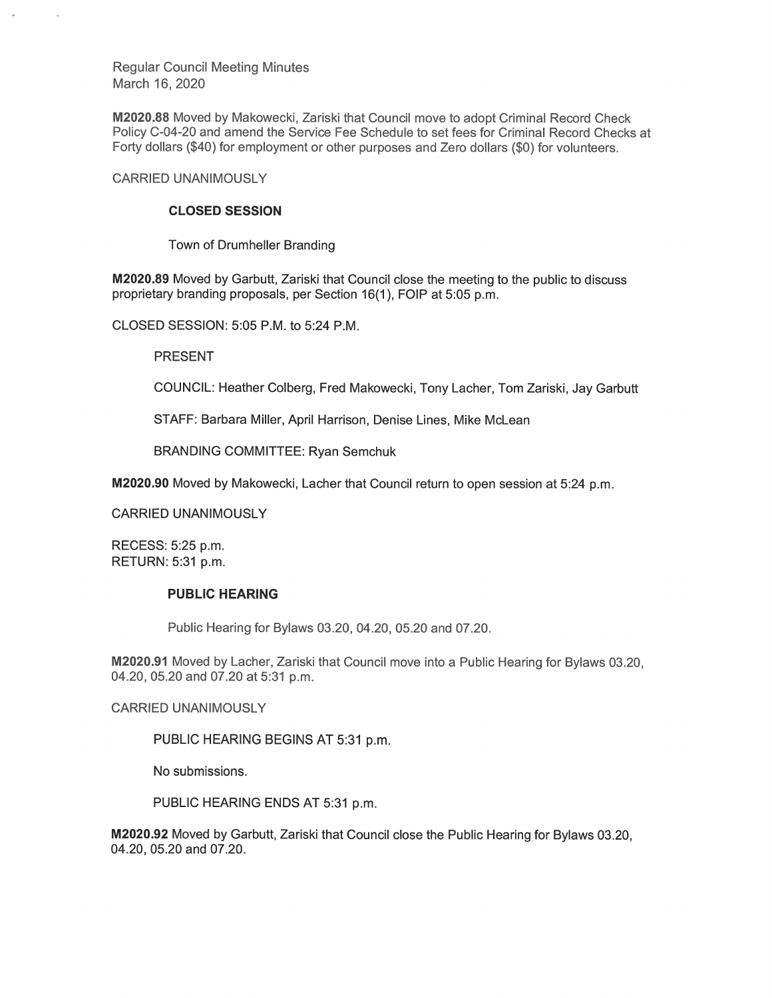M2020.88 Moved by Makowecki, Zariski that Council move to adopt Criminal Record Check Policy C-04-20 and amend the Service Fee Schedule to set fees for Criminal Record Checks at Forty dollars (\$40) for employment or other purposes and Zero dollars (\$0) for volunteers.

**CARRIED UNANIMOUSLY** 

## **CLOSED SESSION**

Town of Drumheller Branding

M2020.89 Moved by Garbutt, Zariski that Council close the meeting to the public to discuss proprietary branding proposals, per Section 16(1), FOIP at 5:05 p.m.

CLOSED SESSION: 5:05 P.M. to 5:24 P.M.

**PRESENT** 

COUNCIL: Heather Colberg, Fred Makowecki, Tony Lacher, Tom Zariski, Jay Garbutt

STAFF: Barbara Miller, April Harrison, Denise Lines, Mike McLean

**BRANDING COMMITTEE: Ryan Semchuk** 

M2020.90 Moved by Makowecki, Lacher that Council return to open session at 5:24 p.m.

**CARRIED UNANIMOUSLY** 

RECESS: 5:25 p.m. RETURN: 5:31 p.m.

## **PUBLIC HEARING**

Public Hearing for Bylaws 03.20, 04.20, 05.20 and 07.20.

M2020.91 Moved by Lacher, Zariski that Council move into a Public Hearing for Bylaws 03.20, 04.20, 05.20 and 07.20 at 5:31 p.m.

**CARRIED UNANIMOUSLY** 

PUBLIC HEARING BEGINS AT 5:31 p.m.

No submissions.

PUBLIC HEARING ENDS AT 5:31 p.m.

M2020.92 Moved by Garbutt, Zariski that Council close the Public Hearing for Bylaws 03.20, 04.20, 05.20 and 07.20.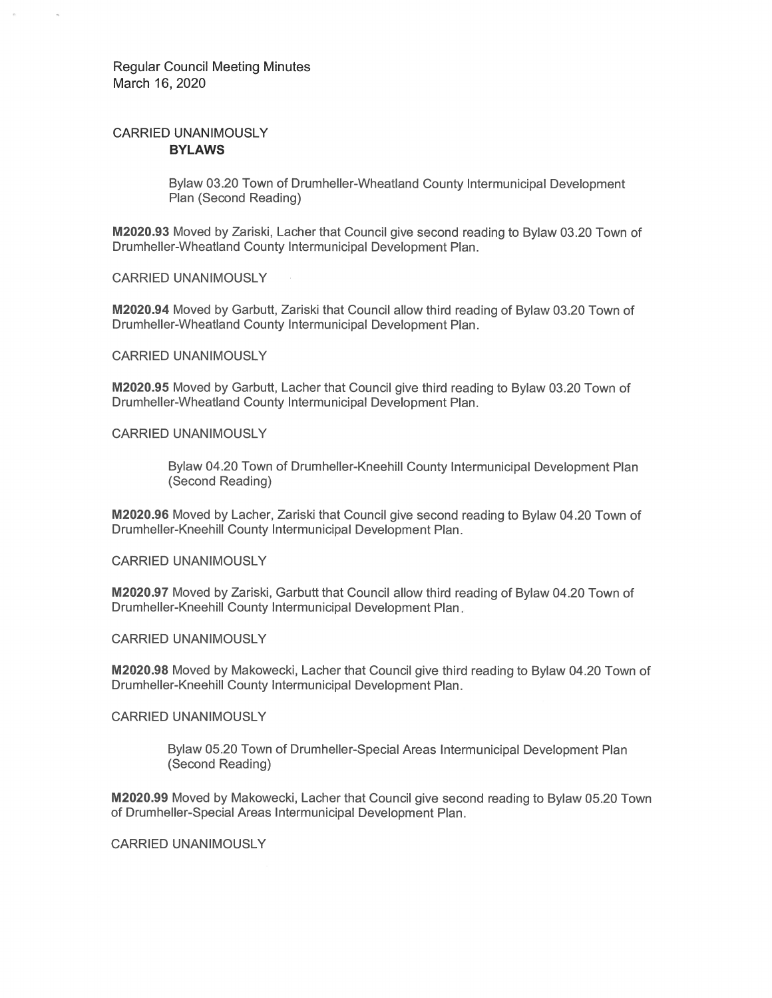# **CARRIED UNANIMOUSLY BYLAWS**

Bylaw 03.20 Town of Drumheller-Wheatland County Intermunicipal Development Plan (Second Reading)

M2020.93 Moved by Zariski, Lacher that Council give second reading to Bylaw 03.20 Town of Drumheller-Wheatland County Intermunicipal Development Plan.

**CARRIED UNANIMOUSLY** 

M2020.94 Moved by Garbutt, Zariski that Council allow third reading of Bylaw 03.20 Town of Drumheller-Wheatland County Intermunicipal Development Plan.

#### **CARRIED UNANIMOUSLY**

M2020.95 Moved by Garbutt, Lacher that Council give third reading to Bylaw 03.20 Town of Drumheller-Wheatland County Intermunicipal Development Plan.

#### CARRIED UNANIMOUSI Y

Bylaw 04.20 Town of Drumheller-Kneehill County Intermunicipal Development Plan (Second Reading)

M2020.96 Moved by Lacher, Zariski that Council give second reading to Bylaw 04.20 Town of Drumheller-Kneehill County Intermunicipal Development Plan.

**CARRIED UNANIMOUSLY** 

M2020.97 Moved by Zariski, Garbutt that Council allow third reading of Bylaw 04.20 Town of Drumheller-Kneehill County Intermunicipal Development Plan.

**CARRIED UNANIMOUSLY** 

M2020.98 Moved by Makowecki, Lacher that Council give third reading to Bylaw 04.20 Town of Drumheller-Kneehill County Intermunicipal Development Plan.

**CARRIED UNANIMOUSLY** 

Bylaw 05.20 Town of Drumheller-Special Areas Intermunicipal Development Plan (Second Reading)

M2020.99 Moved by Makowecki, Lacher that Council give second reading to Bylaw 05.20 Town of Drumheller-Special Areas Intermunicipal Development Plan.

**CARRIED UNANIMOUSLY**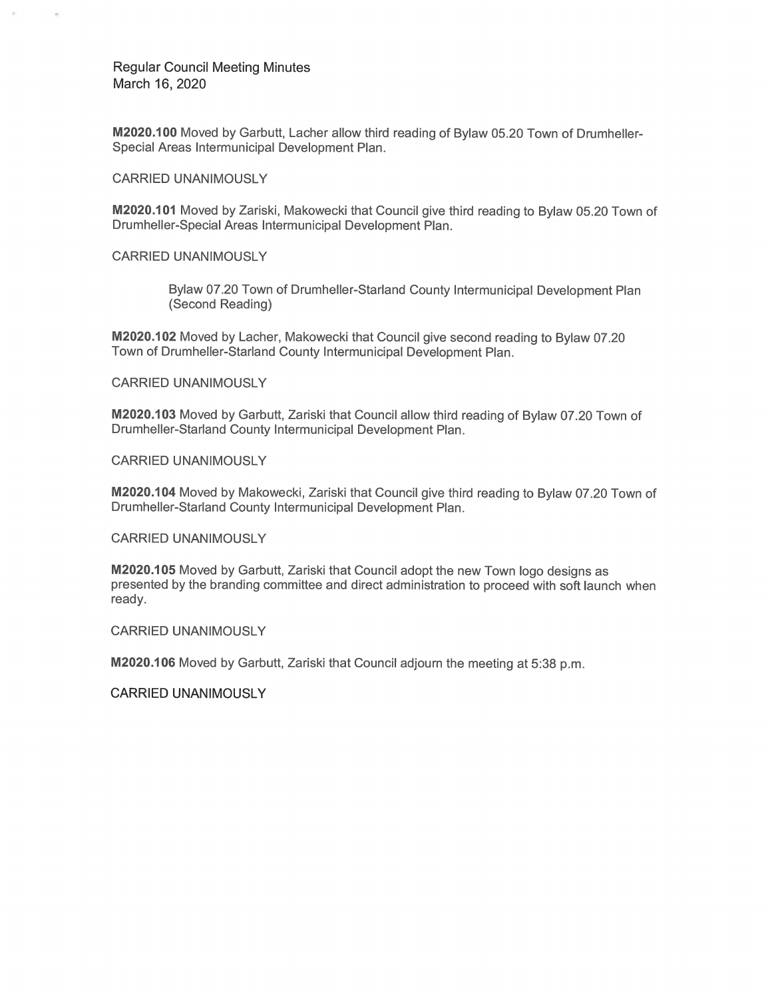M2020.100 Moved by Garbutt, Lacher allow third reading of Bylaw 05.20 Town of Drumheller-Special Areas Intermunicipal Development Plan.

**CARRIED UNANIMOUSLY** 

M2020.101 Moved by Zariski, Makowecki that Council give third reading to Bylaw 05.20 Town of Drumheller-Special Areas Intermunicipal Development Plan.

**CARRIED UNANIMOUSLY** 

Bylaw 07.20 Town of Drumheller-Starland County Intermunicipal Development Plan (Second Reading)

M2020.102 Moved by Lacher, Makowecki that Council give second reading to Bylaw 07.20 Town of Drumheller-Starland County Intermunicipal Development Plan.

**CARRIED UNANIMOUSLY** 

M2020.103 Moved by Garbutt, Zariski that Council allow third reading of Bylaw 07.20 Town of Drumheller-Starland County Intermunicipal Development Plan.

**CARRIED UNANIMOUSLY** 

M2020.104 Moved by Makowecki, Zariski that Council give third reading to Bylaw 07.20 Town of Drumheller-Starland County Intermunicipal Development Plan.

**CARRIED UNANIMOUSLY** 

M2020.105 Moved by Garbutt, Zariski that Council adopt the new Town logo designs as presented by the branding committee and direct administration to proceed with soft launch when ready.

**CARRIED UNANIMOUSLY** 

M2020.106 Moved by Garbutt, Zariski that Council adjourn the meeting at 5:38 p.m.

**CARRIED UNANIMOUSLY**